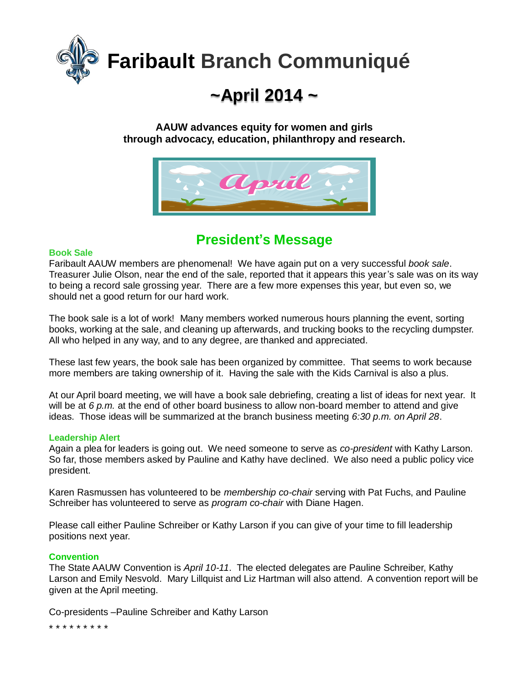

# **~April 2014 ~**

#### **AAUW advances equity for women and girls through advocacy, education, philanthropy and research.**



# **President's Message**

#### **Book Sale**

Faribault AAUW members are phenomenal! We have again put on a very successful *book sale*. Treasurer Julie Olson, near the end of the sale, reported that it appears this year's sale was on its way to being a record sale grossing year. There are a few more expenses this year, but even so, we should net a good return for our hard work.

The book sale is a lot of work! Many members worked numerous hours planning the event, sorting books, working at the sale, and cleaning up afterwards, and trucking books to the recycling dumpster. All who helped in any way, and to any degree, are thanked and appreciated.

These last few years, the book sale has been organized by committee. That seems to work because more members are taking ownership of it. Having the sale with the Kids Carnival is also a plus.

At our April board meeting, we will have a book sale debriefing, creating a list of ideas for next year. It will be at 6 p.m. at the end of other board business to allow non-board member to attend and give ideas. Those ideas will be summarized at the branch business meeting *6:30 p.m. on April 28*.

#### **Leadership Alert**

Again a plea for leaders is going out. We need someone to serve as *co-president* with Kathy Larson. So far, those members asked by Pauline and Kathy have declined. We also need a public policy vice president.

Karen Rasmussen has volunteered to be *membership co-chair* serving with Pat Fuchs, and Pauline Schreiber has volunteered to serve as *program co-chair* with Diane Hagen.

Please call either Pauline Schreiber or Kathy Larson if you can give of your time to fill leadership positions next year.

#### **Convention**

The State AAUW Convention is *April 10-11*. The elected delegates are Pauline Schreiber, Kathy Larson and Emily Nesvold. Mary Lillquist and Liz Hartman will also attend. A convention report will be given at the April meeting.

Co-presidents –Pauline Schreiber and Kathy Larson

\* \* \* \* \* \* \* \* \*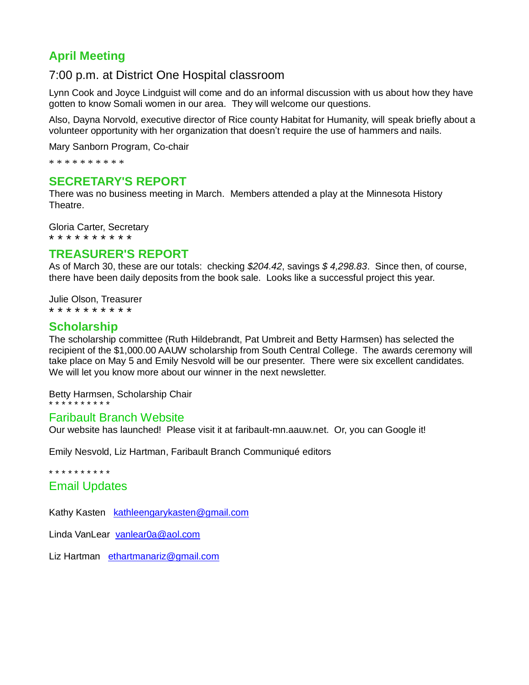## **April Meeting**

## 7:00 p.m. at District One Hospital classroom

Lynn Cook and Joyce Lindguist will come and do an informal discussion with us about how they have gotten to know Somali women in our area. They will welcome our questions.

Also, Dayna Norvold, executive director of Rice county Habitat for Humanity, will speak briefly about a volunteer opportunity with her organization that doesn't require the use of hammers and nails.

Mary Sanborn Program, Co-chair

\* \* \* \* \* \* \* \* \* \*

## **SECRETARY'S REPORT**

There was no business meeting in March. Members attended a play at the Minnesota History Theatre.

Gloria Carter, Secretary \* \* \* \* \* \* \* \* \* \*

#### **TREASURER'S REPORT**

As of March 30, these are our totals: checking *\$204.42*, savings *\$ 4,298.83*. Since then, of course, there have been daily deposits from the book sale. Looks like a successful project this year.

Julie Olson, Treasurer \* \* \* \* \* \* \* \* \* \*

## **Scholarship**

The scholarship committee (Ruth Hildebrandt, Pat Umbreit and Betty Harmsen) has selected the recipient of the \$1,000.00 AAUW scholarship from South Central College. The awards ceremony will take place on May 5 and Emily Nesvold will be our presenter. There were six excellent candidates. We will let you know more about our winner in the next newsletter.

Betty Harmsen, Scholarship Chair

\* \* \* \* \* \* \* \* \* \*

#### Faribault Branch Website

Our website has launched! Please visit it at faribault-mn.aauw.net. Or, you can Google it!

Emily Nesvold, Liz Hartman, Faribault Branch Communiqué editors

\* \* \* \* \* \* \* \* \* \*

#### Email Updates

Kathy Kasten [kathleengarykasten@gmail.com](mailto:kathleengarykasten@gmail.com)

Linda VanLear [vanlear0a@aol.com](mailto:vanlear0a@aol.com)

Liz Hartman [ethartmanariz@gmail.com](mailto:ethartmanariz@gmail.com)